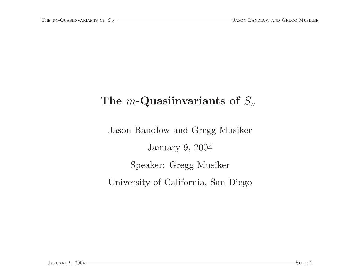## The *m*-Quasiinvariants of  $S_n$

Jason Bandlow and Gregg Musiker January 9, 2004 Speaker: Gregg Musiker University of California, San Diego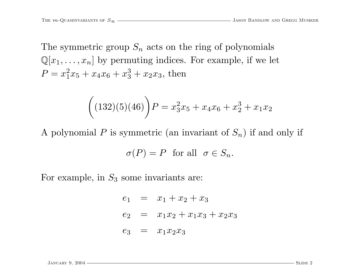The symmetric group  $S_n$  acts on the ring of polynomials  $\mathbb{Q}[x_1, \ldots, x_n]$  by permuting indices. For example, if we let  $P = x_1^2x_5 + x_4x_6 + x_3^3 + x_2x_3$ , then

$$
((132)(5)(46))P = x_3^2x_5 + x_4x_6 + x_2^3 + x_1x_2
$$

A polynomial P is symmetric (an invariant of  $S_n$ ) if and only if

$$
\sigma(P) = P \text{ for all } \sigma \in S_n.
$$

For example, in  $S_3$  some invariants are:

$$
e_1 = x_1 + x_2 + x_3
$$
  
\n
$$
e_2 = x_1x_2 + x_1x_3 + x_2x_3
$$
  
\n
$$
e_3 = x_1x_2x_3
$$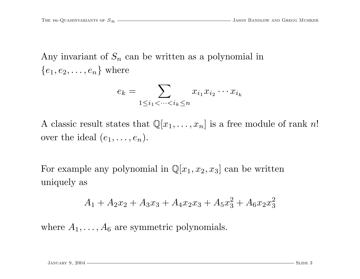Any invariant of  $S_n$  can be written as a polynomial in  ${e_1, e_2, \ldots, e_n}$  where

$$
e_k = \sum_{1 \le i_1 < \dots < i_k \le n} x_{i_1} x_{i_2} \dotsm x_{i_k}
$$

A classic result states that  $\mathbb{Q}[x_1, \ldots, x_n]$  is a free module of rank n! over the ideal  $(e_1, \ldots, e_n)$ .

For example any polynomial in  $\mathbb{Q}[x_1, x_2, x_3]$  can be written uniquely as

$$
A_1 + A_2 x_2 + A_3 x_3 + A_4 x_2 x_3 + A_5 x_3^2 + A_6 x_2 x_3^2
$$

where  $A_1, \ldots, A_6$  are symmetric polynomials.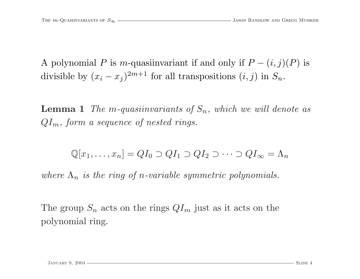A polynomial P is m-quasiinvariant if and only if  $P - (i, j)(P)$  is divisible by  $(x_i - x_j)^{2m+1}$  for all transpositions  $(i, j)$  in  $S_n$ .

**Lemma 1** The m-quasiinvariants of  $S_n$ , which we will denote as  $QI_m$ , form a sequence of nested rings.

$$
\mathbb{Q}[x_1,\ldots,x_n]=QI_0\supset QI_1\supset QI_2\supset\cdots\supset QI_{\infty}=\Lambda_n
$$

where  $\Lambda_n$  is the ring of n-variable symmetric polynomials.

The group  $S_n$  acts on the rings  $QI_m$  just as it acts on the polynomial ring.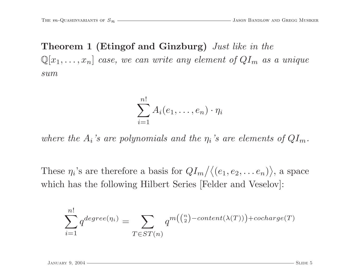Theorem <sup>1</sup> (Etingof and Ginzburg) Just like in the  $\mathbb{Q}[x_1,\ldots,x_n]$  case, we can write any element of  $QI_m$  as a unique sum

$$
\sum_{i=1}^{n!} A_i(e_1,\ldots,e_n) \cdot \eta_i
$$

where the  $A_i$ 's are polynomials and the  $\eta_i$ 's are elements of  $QI_m$ .

These  $\eta_i$ 's are therefore a basis for  $QI_m/(\langle e_1, e_2, \ldots e_n \rangle)$ , a space which has the following Hilbert Series [Felder and Veselov]:

$$
\sum_{i=1}^{n!} q^{degree(\eta_i)} = \sum_{T \in ST(n)} q^{m(\binom{n}{2} - content(\lambda(T))) + cocharge(T)}
$$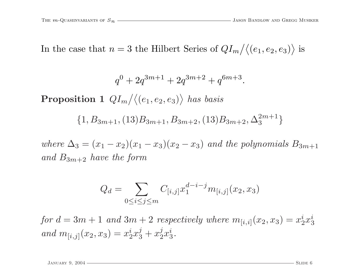In the case that  $n=3$  the Hilbert Series of  $QI_m/(\langle e_1, e_2, e_3 \rangle)$  is

$$
q^{0} + 2q^{3m+1} + 2q^{3m+2} + q^{6m+3}.
$$

 $\mathbf{Proposition\ 1}\ \ QI_m \big/ \big\langle (e_1, e_2, e_3) \big\rangle\ has\ basis$ 

$$
\{1, B_{3m+1}, (13)B_{3m+1}, B_{3m+2}, (13)B_{3m+2}, \Delta_3^{2m+1}\}
$$

where  $\Delta_3 = (x_1 - x_2)(x_1 - x_3)(x_2 - x_3)$  and the polynomials  $B_{3m+1}$ and  $B_{3m+2}$  have the form

$$
Q_d = \sum_{0 \le i \le j \le m} C_{[i,j]} x_1^{d-i-j} m_{[i,j]}(x_2, x_3)
$$

for  $d = 3m + 1$  and  $3m + 2$  respectively where  $m_{[i,i]}(x_2, x_3) = x_2^i x_3^i$ and  $m_{[i,j]}(x_2, x_3) = x_2^i x_3^j + x_2^j x_3^i$ .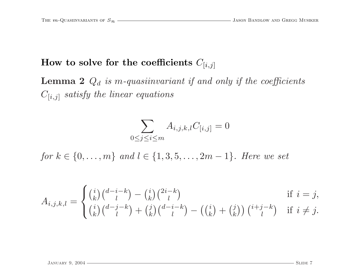## How to solve for the coefficients  $C_{[i,j]}$

**Lemma 2**  $Q_d$  is m-quasiinvariant if and only if the coefficients  $C_{[i,j]}$  satisfy the linear equations

$$
\sum_{0 \le j \le i \le m} A_{i,j,k,l} C_{[i,j]} = 0
$$

for  $k \in \{0, ..., m\}$  and  $l \in \{1, 3, 5, ..., 2m - 1\}$ . Here we set

$$
A_{i,j,k,l} = \begin{cases} {i \choose k} {d-i-k \choose l} - {i \choose k} {2i-k \choose l} & \text{if } i = j, \\ {i \choose k} {d-j-k \choose l} + {j \choose k} {d-i-k \choose l} - ({i \choose k} + {j \choose k}) \ {i+j-k \choose l} & \text{if } i \neq j. \end{cases}
$$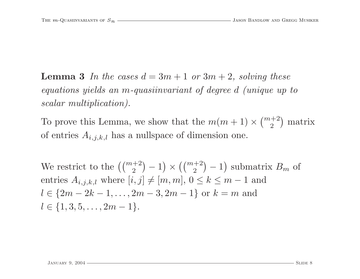**Lemma 3** In the cases  $d = 3m + 1$  or  $3m + 2$ , solving these equations <sup>y</sup>ields an <sup>m</sup>-quasiinvariant of degree d (unique up to scalar multiplication).

To prove this Lemma, we show that the  $m(m+1) \times \binom{m+2}{2}$  matrix of entries  $A_{i,j,k,l}$  has a nullspace of dimension one.

We restrict to the  $\left(\binom{m+2}{2} - 1\right) \times \left(\binom{m+2}{2} - 1\right)$  submatrix  $B_m$  of entries  $A_{i,j,k,l}$  where  $[i, j] \neq [m, m]$ ,  $0 \leq k \leq m-1$  and  $l \in \{2m-2k-1,\ldots,2m-3,2m-1\}$  or  $k=m$  and  $l \in \{1, 3, 5, \ldots, 2m - 1\}.$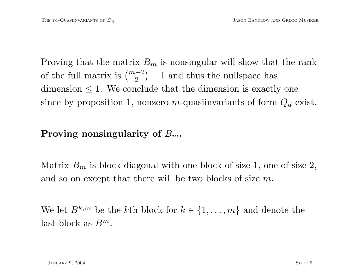Proving that the matrix  $B_m$  is nonsingular will show that the rank of the full matrix is  $\binom{m+2}{2} - 1$  and thus the nullspace has dimension  $\leq 1$ . We conclude that the dimension is exactly one since by proposition 1, nonzero m-quasiinvariants of form  $Q_d$  exist.

## Proving nonsingularity of  $B_m$ .

Matrix  $B_m$  is block diagonal with one block of size 1, one of size 2, and so on except that there will be two blocks of size <sup>m</sup>.

We let  $B^{k,m}$  be the kth block for  $k \in \{1, \ldots, m\}$  and denote the last block as  $B^m$ .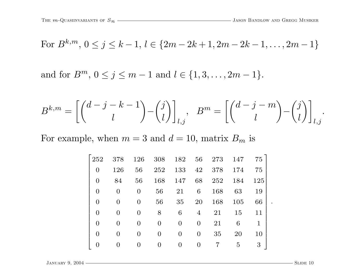.

For 
$$
B^{k,m}
$$
,  $0 \le j \le k-1$ ,  $l \in \{2m-2k+1, 2m-2k-1, ..., 2m-1\}$ 

and for  $B^m$ ,  $0 \le j \le m-1$  and  $l \in \{1, 3, ..., 2m-1\}$ .

$$
B^{k,m} = \left[ \binom{d-j-k-1}{l} - \binom{j}{l} \right]_{l,j}, \quad B^m = \left[ \binom{d-j-m}{l} - \binom{j}{l} \right]_{l,j}.
$$

For example, when  $m = 3$  and  $d = 10$ , matrix  $B_m$  is

| 252            | 378           | 126            | 308              | 182      | 56             | 273 | 147 | 75          |
|----------------|---------------|----------------|------------------|----------|----------------|-----|-----|-------------|
| $\Omega$       | 126           | 56             | 252              | 133      | 42             | 378 | 174 | 75          |
| $\overline{0}$ | 84            | 56             | 168              | 147      | 68             | 252 | 184 | 125         |
| $\Omega$       | $\Omega$      | $\overline{0}$ | 56               | 21       | 6              | 168 | 63  | 19          |
| $\theta$       | 0             | 0              | 56               | 35       | 20             | 168 | 105 | 66          |
| $\Omega$       | $\mathcal{O}$ | 0              | 8                | 6        | $\overline{4}$ | 21  | 15  | 11          |
| $\Omega$       | 0             | 0              | $\Omega$         | $\Omega$ | $\Omega$       | 21  | 6   | $\mathbf 1$ |
| $\Omega$       | 0             | $\mathbf{O}$   | $\left( \right)$ | 0        | $\overline{0}$ | 35  | 20  | 10          |
|                |               |                |                  |          | $\theta$       |     | 5   | 3           |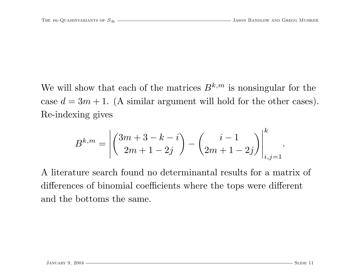We will show that each of the matrices  $B^{k,m}$  is nonsingular for the case  $d = 3m + 1$ . (A similar argument will hold for the other cases). Re-indexing gives

$$
B^{k,m} = \left| \binom{3m+3-k-i}{2m+1-2j} - \binom{i-1}{2m+1-2j} \right|_{i,j=1}^k.
$$

A literature search found no determinantal results for <sup>a</sup> matrix of differences of binomial coefficients where the tops were different and the bottoms the same.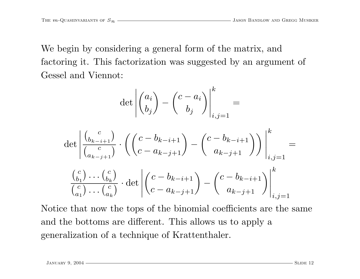We begin by considering <sup>a</sup> general form of the matrix, and factoring it. This factorization was suggested by an argument of Gessel and Viennot:

$$
\det \left| \begin{pmatrix} a_i \\ b_j \end{pmatrix} - \begin{pmatrix} c - a_i \\ b_j \end{pmatrix} \right|_{i,j=1}^k =
$$

$$
\det \left| \frac{\binom{c}{b_{k-i+1}}}{\binom{c}{a_{k-j+1}}} \cdot \left( \binom{c-b_{k-i+1}}{c-a_{k-j+1}} - \binom{c-b_{k-i+1}}{a_{k-j+1}} \right) \right|_{i,j=1}^k =
$$
  

$$
\frac{\binom{c}{b_1} \cdots \binom{c}{b_k}}{\binom{c}{a_1} \cdots \binom{c}{a_k}} \cdot \det \left| \binom{c-b_{k-i+1}}{c-a_{k-j+1}} - \binom{c-b_{k-i+1}}{a_{k-j+1}} \right|_{i,j=1}^k
$$

Notice that now the tops of the binomial coefficients are the same and the bottoms are different. This allows us to apply <sup>a</sup> generalization of <sup>a</sup> technique of Krattenthaler.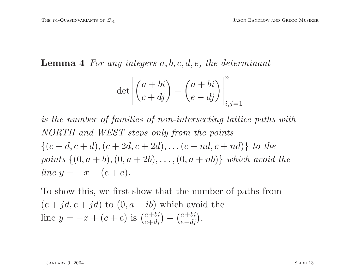## **Lemma 4** For any integers  $a, b, c, d, e$ , the determinant

$$
\det \left| \begin{pmatrix} a+bi \\ c+dj \end{pmatrix} - \begin{pmatrix} a+bi \\ e-dj \end{pmatrix} \right|_{i,j=1}^{n}
$$

is the number of families of non-intersecting lattice paths with NORTH and WEST steps only from the points  $\{(c+d, c+d), (c+2d, c+2d), \ldots (c+nd, c+nd)\}\ to\ the$ points  $\{(0, a + b), (0, a + 2b), \ldots, (0, a + nb)\}$  which avoid the line  $y = -x + (c + e)$ .

To show this, we first show that the number of paths from  $(c + jd, c + jd)$  to  $(0, a + ib)$  which avoid the line  $y = -x + (c + e)$  is  $\binom{a+bi}{c+di} - \binom{a+bi}{e-di}$ .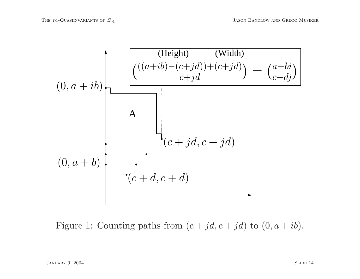

Figure 1: Counting paths from  $(c + jd, c + jd)$  to  $(0, a + ib)$ .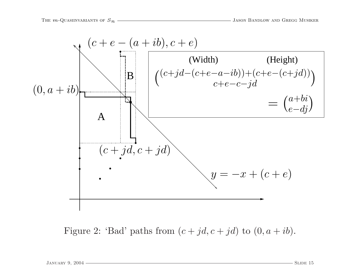

Figure 2: 'Bad' paths from  $(c + jd, c + jd)$  to  $(0, a + ib)$ .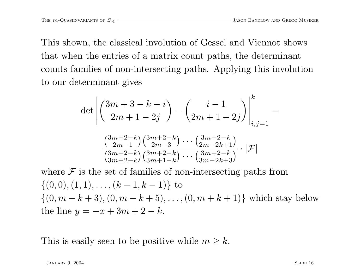This shown, the classical involution of Gessel and Viennot shows that when the entries of <sup>a</sup> matrix count paths, the determinant counts families of non-intersecting paths. Applying this involution to our determinant gives

$$
\det \left| \left( \begin{array}{c} 3m+3-k-i \\ 2m+1-2j \end{array} \right) - \left( \begin{array}{c} i-1 \\ 2m+1-2j \end{array} \right) \right|_{i,j=1}^{k} =
$$

$$
\frac{\left( \begin{array}{c} 3m+2-k \\ 2m-1 \end{array} \right) \left( \begin{array}{c} 3m+2-k \\ 2m-3 \end{array} \right) \cdots \left( \begin{array}{c} 3m+2-k \\ 2m-2k+1 \end{array} \right)}{\left( \begin{array}{c} 3m+2-k \\ 3m+2-k \end{array} \right) \left( \begin{array}{c} 3m+2-k \\ 3m-2k+3 \end{array} \right) \cdot |\mathcal{F}|}
$$

where  $\mathcal F$  is the set of families of non-intersecting paths from  $\{(0,0), (1, 1), \ldots, (k-1, k-1)\}\)$  to  $\{(0, m - k + 3), (0, m - k + 5), \ldots, (0, m + k + 1)\}\$  which stay below the line  $y = -x + 3m + 2 - k$ .

This is easily seen to be positive while  $m \geq k$ .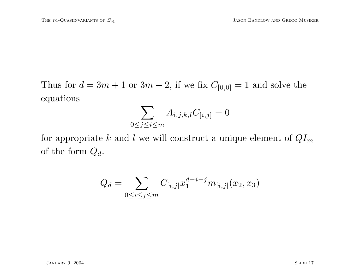Thus for  $d = 3m + 1$  or  $3m + 2$ , if we fix  $C_{[0,0]} = 1$  and solve the equations

$$
\sum_{0 \le j \le i \le m} A_{i,j,k,l} C_{[i,j]} = 0
$$

for appropriate k and l we will construct a unique element of  $QI_m$ of the form  $Q_d$ .

$$
Q_d = \sum_{0 \le i \le j \le m} C_{[i,j]} x_1^{d-i-j} m_{[i,j]}(x_2, x_3)
$$